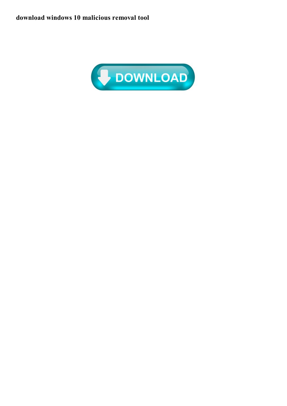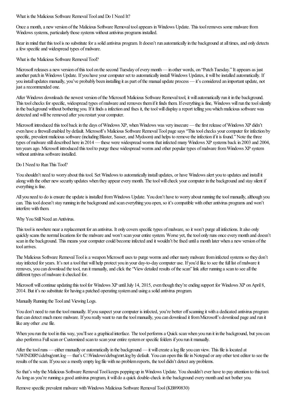What is the Malicious Software Removal Tool and Do I Need It?

Once a month, a new version of the Malicious Software Removal tool appears in Windows Update. This tool removes some malware from Windows systems, particularly those systems without antivirus programs installed.

Bear in mind that this tool is no substitute for a solid antivirus program. It doesn't run automatically in the background at all times, and only detects a few specific and widespread types of malware.

What is the Malicious Software Removal Tool?

Microsoft releases a new version of this tool on the second Tuesday of every month— in other words, on "Patch Tuesday." It appears as just another patch in Windows Update. If you have your computer set to automatically install Windows Updates, it will be installed automatically. If you install updates manually, you've probably been installing it as part of the manual update process — it's considered an important update, not just a recommended one.

After Windows downloads the newest version ofthe Microsoft Malicious Software Removaltool, it willautomatically run it in the background. This tool checks for specific, widespread types of malware and removes them if it finds them. If everything is fine, Windows will run the tool silently in the background without bothering you. If it finds a infection and fixes it, the tool will display a report telling you which malicious software was detected and will be removed after you restart your computer.

Microsoft introduced this tool back in the days of Windows XP, when Windows was very insecure — the first release of Windows XP didn't even have a firewall enabled by default. Microsoft's Malicious Software Removal Tool page says "This tool checks your computer for infection by specific, prevalent malicious software (including Blaster, Sasser, and Mydoom) and helps to remove the infection if it is found." Note the three types of malware still described here in 2014 — these were widespread worms that infected many Windows XP systems back in 2003 and 2004, ten years ago. Microsoft introduced this tool to purge these widespread worms and other popular types of malware from Windows XP system without antivirus software installed.

## Do I Need to Run This Tool?

You shouldn't need to worry about this tool. Set Windows to automatically install updates, or have Windows alert you to updates and install it along with the other new security updates when they appear every month. The tool will check your computer in the background and stay silent if everything is fine.

All you need to do is ensure the update is installed from Windows Update. You don't have to worry about running the tool manually, although you can. This tool doesn't stay running in the background and scan everything you open, so it's compatible with other antivirus programs and won't interfere with them.

## Why You Still Need an Antivirus.

This tool is nowhere near a replacement for an antivirus. It only covers specific types of malware, so it won't purge all infections. It also only quickly scans the normal locations for the malware and won't scan your entire system. Worse yet, the tool only runs once every month and doesn't scan in the background. This means your computer could become infected and it wouldn't be fixed until a month later when a new version of the toolarrives.

The Malicious Software Removal Tool is a weapon Microsoft uses to purge worms and other nasty malware from infected systems so they don't stay infected for years. It's not a tool that will help protect you in your day-to-day computer use. If you'd like to see the full list of malware it removes, you can download the tool, run it manually, and click the "View detailed results of the scan" link after running a scan to see all the different types of malware it checked for.

Microsoft will continue updating this tool for Windows XP until July 14, 2015, even though they're ending support for Windows XP on April 8, 2014. But it's no substitute for having a patched operating system and using a solid antivirus program.

## Manually Running the Tool and Viewing Logs.

You don't need to run the tool manually. If you suspect your computer is infected, you're better off scanning it with a dedicated antivirus program that can detect much more malware. If you really want to run the tool manually, you can download it from Microsoft's download page and run it like any other .exe file.

When you run the tool in this way, you'll see a graphical interface. The tool performs a Quick scan when you run it in the background, but you can also perform a Full scan or Customized scan to scan your entire system or specific folders if you run it manually.

After the tool runs — either manually or automatically in the background — it will create a log file you can view. This file is located at %WINDIR%\debug\mrt.log— that's C:\Windows\debug\mrt.log by default. You can open this file in Notepad or any other text editor to see the results of the scan. If you see a mostly empty log file with no problem reports, the tool didn't detect any problems.

So that's why the Malicious Software Removal Tool keeps popping up in Windows Update. You shouldn't ever have to pay attention to this tool. As long as you're running a good antivirus program, it will do a quick double-check in the background every month and not bother you.

Remove specific prevalent malware with Windows Malicious Software Removal Tool (KB890830)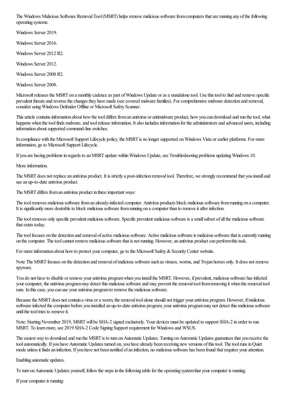The Windows Malicious Software Removal Tool (MSRT) helps remove malicious software from computers that are running any of the following operating systems:

Windows Server 2019.

Windows Server 2016.

Windows Server 2012 R2.

Windows Server 2012.

Windows Server 2008 R2.

Windows Server 2008.

Microsoft releases the MSRT on a monthly cadence as part of Windows Update or as a standalone tool. Use this tool to find and remove specific prevalent threats and reverse the changes they have made (see covered malware families). For comprehensive malware detection and removal, consider usingWindows Defender Offline or Microsoft Safety Scanner.

This article contains information about how the tool differs from an antivirus or antimalware product, how you can download and run the tool, what happens when the tool finds malware, and tool release information. It also includes information for the administrators and advanced users, including information about supported command-line switches.

In compliance with the Microsoft Support Lifecycle policy, the MSRT is no longer supported onWindows Vista orearlier platforms. For more information, go to Microsoft Support Lifecycle.

If you are having problems in regards to an MSRT update within Windows Update, see Troubleshooting problems updating Windows 10.

More information.

The MSRT does not replace an antivirus product. It is strictly a post-infection removal tool. Therefore, we strongly recommend that you install and use an up-to-date antivirus product.

The MSRT differs from an antivirus product in three important ways:

The tool removes malicious software from an already-infected computer. Antivirus products block malicious software from running on a computer. It is significantly more desirable to block malicious software from running on a computer than to remove it after infection.

The tool removes only specific prevalent malicious software. Specific prevalent malicious software is a small subset of all the malicious software that exists today.

The tool focuses on the detection and removal of active malicious software. Active malicious software is malicious software that is currently running on the computer. The tool cannot remove malicious software that is not running. However, an antivirus product can perform this task.

For more information about how to protect your computer, go to the Microsoft Safety & Security Center website.

Note The MSRT focuses on the detection and removal of malicious software such as viruses, worms, and Trojan horses only. It does not remove spyware.

You do not have to disable or remove your antivirus program when you install the MSRT. However, if prevalent, malicious software has infected your computer, the antivirus programmay detect this malicious software and may prevent the removal tool from removing it when the removal tool runs. In this case, you can use your antivirus program to remove the malicious software.

Because the MSRT does not contain a virus or a worm, the removal tool alone should not trigger your antivirus program. However, if malicious software infected the computer before you installed an up-to-date antivirus program, your antivirus program may not detect this malicious software until the tool tries to remove it.

Note:StartingNovember 2019, MSRTwill be SHA-2 signed exclusively. Your devices must be updated to support SHA-2 in order to run MSRT. To learnmore, see 2019 SHA-2 Code Signing Support requirement for Windowsand WSUS.

The easiest way to download and run the MSRT is to turn on Automatic Updates. Turning on Automatic Updates guarantees that you receive the tool automatically. If you have Automatic Updates turned on, you have already been receiving new versions of this tool. The tool runs in Quiet mode unless it finds an infection. If you have not been notified of an infection, no malicious software has been found that requires your attention.

Enabling automatic updates.

To turn on Automatic Updates yourself, follow the steps in the following table for the operating system that your computer is running.

If your computer is running: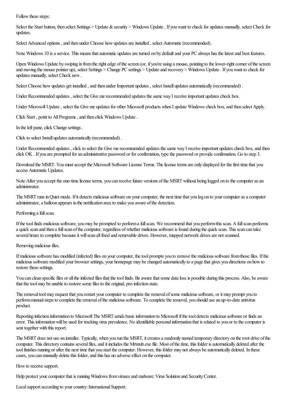Follow these steps:

Select the Start button, then select Settings > Update & security > Windows Update. If you want to check for updates manually, select Check for updates.

Select Advanced options, and then under Choose how updates are installed, select Automatic (recommended).

Note Windows 10 is a service. This means that automatic updates are turned on by default and your PC always has the latest and best features.

Open Windows Update by swiping in from the right edge of the screen (or, if you're using a mouse, pointing to the lower-right corner of the screen and moving the mouse pointer up), select Settings > Change PC settings > Update and recovery > Windows Update. If you want to check for updates manually, select Check now.

Select Choose how updates get installed, and then under Important updates, select Install updates automatically (recommended).

Under Recommended updates, select the Give me recommended updates the same way I receive important updates check box.

Under Microsoft Update, select the Give me updates for other Microsoft products when I update Windows check box, and then select Apply.

Click Start, point to All Programs, and then click Windows Update.

In the left pane, click Change settings .

Click to select Install updates automatically (recommended).

Under Recommended updates, click to select the Give me recommended updates the same way I receive important updates check box, and then click OK. If you are prompted for an administrative password or for confirmation, type the password or provide confirmation. Go to step 3.

Download the MSRT. You must accept the Microsoft Software License Terms. The license terms are only displayed for the first time that you access Automatic Updates.

Note After you accept the one-time license terms, you can receive future versions of the MSRT without being logged on to the computer as an administrator.

The MSRT runs in Quiet mode. If it detects malicious software on your computer, the next time that you log on to your computer as a computer administrator, a balloon appears in the notification area to make you aware of the detection.

Performing a full scan.

If the tool finds malicious software, you may be prompted to perform a full scan. We recommend that you perform this scan. A full scan performs a quick scan and then a full scan of the computer, regardless of whether malicious software is found during the quick scan. This scan can take several hours to complete because it will scan all fixed and removable drives. However, mapped network drives are not scanned.

Removing malicious files.

If malicious software has modified (infected) files on your computer, the tool prompts you to remove the malicious software from those files. If the malicious software modified your browser settings, your homepage may bechanged automatically to a pagethat gives you directions on howto restore these settings.

You can clean specific files or all the infected files that the tool finds. Be aware that some data loss is possible during this process. Also, be aware that the tool may be unable to restore some files to the original, pre-infection state.

The removal tool may request that you restart your computer to complete the removal of some malicious software, or it may prompt you to perform manual steps to complete the removal of the malicious software. To complete the removal, you should use an up-to-date antivirus product.

Reporting infection information to Microsoft The MSRT sends basic information to Microsoft if the tool detects malicious software or finds an error. This information will be used for tracking virus prevalence. No identifiable personal information that is related to you or to the computer is sent together with this report.

The MSRT does not use an installer. Typically, when you run the MSRT, it creates a randomly named temporary directory on the root drive of the computer. This directory contains several files, and it includes the Mrtstub.exe file. Most of the time, this folder is automatically deleted after the tool finishes running or after the next time that you start the computer. However, this folder may not always be automatically deleted. In these cases, you can manually delete this folder, and this has no adverse effect on the computer.

How to receive support.

Help protect your computer that is running Windows from viruses and malware: Virus Solution and Security Center.

Local support according to your country: International Support.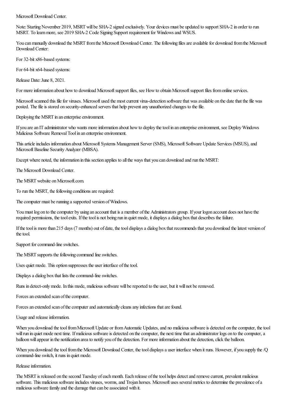Microsoft Download Center.

Note:StartingNovember 2019, MSRTwill be SHA-2 signed exclusively. Your devices must be updated to support SHA-2 in order to run MSRT. To learn more, see 2019 SHA-2 Code Signing Support requirement for Windows and WSUS.

You can manually download the MSRT from the Microsoft Download Center. The following files are available for download from the Microsoft Download Center:

For 32-bit x86-based systems:

For 64-bit x64-based systems:

Release Date: June 8, 2021.

For more information about how to download Microsoft support files, see How to obtain Microsoft support files from online services.

Microsoft scanned this file for viruses. Microsoft used the most current virus-detection software that was available on the date that the file was posted. The file is stored on security-enhanced servers that help prevent any unauthorized changes to the file.

Deploying the MSRT in an enterprise environment.

If you are an IT administrator who wants more information about how to deploy the tool in an enterprise environment, see Deploy Windows Malicious Software Removal Tool in an enterprise environment.

This article includes information about Microsoft Systems Management Server (SMS), Microsoft Software Update Services (MSUS), and Microsoft Baseline Security Analyzer (MBSA).

Except where noted, the information in this section applies to all the ways that you can download and run the MSRT:

The Microsoft Download Center.

The MSRT website on Microsoft.com.

To run the MSRT, the following conditions are required:

The computer must be running a supported version of Windows.

You must log on to the computer by using an account that is a member of the Administrators group. If your logon account does not have the required permissions, the tool exits. If the tool is not being run in quiet mode, it displays a dialog box that describes the failure.

If the tool is more than 215 days (7 months) out of date, the tool displays a dialog box that recommends that you download the latest version of the tool.

Support for command-line switches.

The MSRT supports the following command line switches.

Uses quiet mode. This option suppresses the user interface of the tool.

Displays a dialog box that lists the command-line switches.

Runs in detect-only mode. In this mode, malicious software will be reported to the user, but it will not be removed.

Forces an extended scan of the computer.

Forces an extended scan of the computer and automatically cleans any infections that are found.

Usage and release information.

When you download the tool from Microsoft Update or from Automatic Updates, and no malicious software is detected on the computer, the tool will run in quiet mode next time. If malicious software is detected on the computer, the next time that an administrator logs on to the computer, a balloon will appear in the notification area to notify you of the detection. For more information about the detection, click the balloon.

When you download the tool from the Microsoft Download Center, the tool displays a user interface when it runs. However, if you supply the /Q command-line switch, it runs in quiet mode.

Release information.

The MSRT is released on the second Tuesday of each month. Each release of the tool helps detect and remove current, prevalent malicious software. This malicious software includes viruses, worms, and Trojan horses. Microsoft uses several metrics to determine the prevalence of a malicious software family and the damage that can be associated with it.